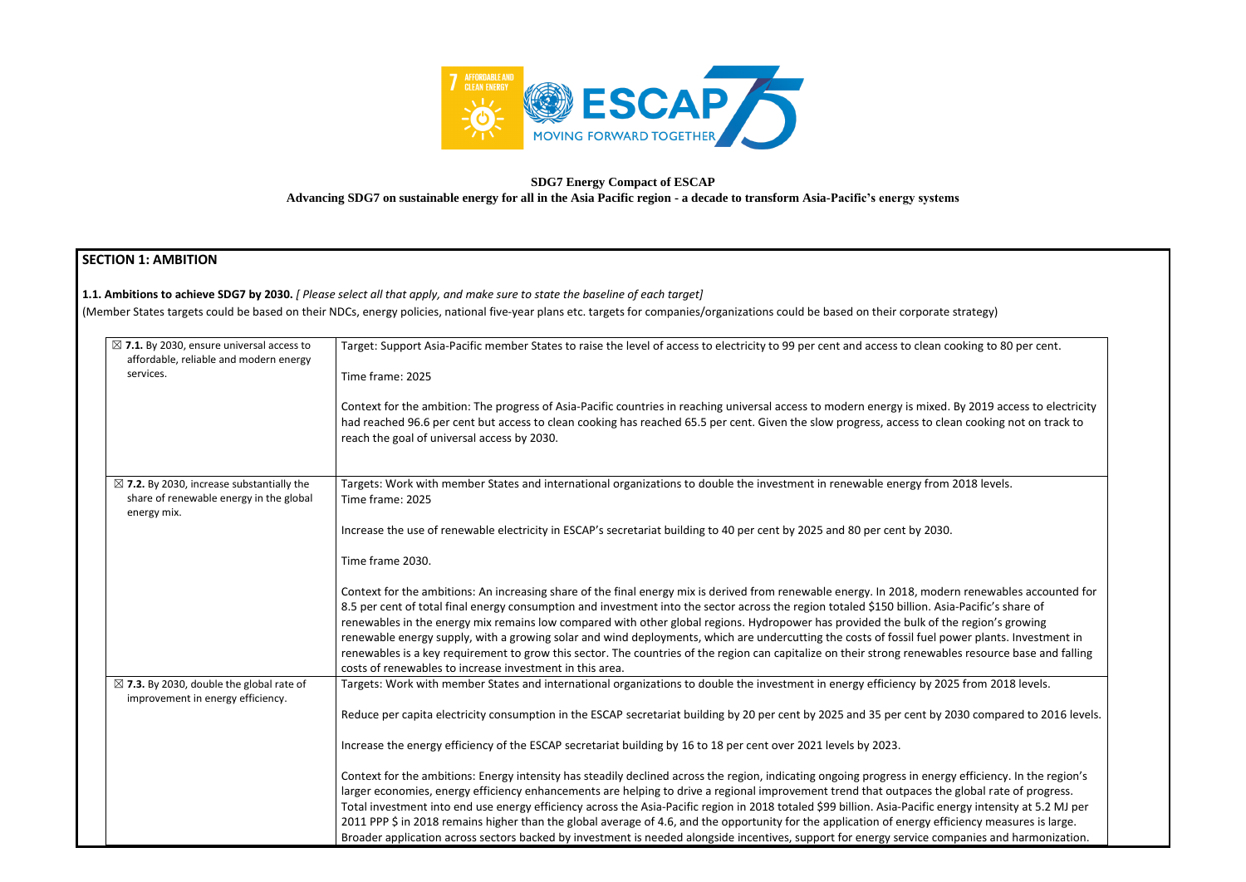

# **SDG7 Energy Compact of ESCAP**

**Advancing SDG7 on sustainable energy for all in the Asia Pacific region - a decade to transform Asia-Pacific's energy systems** 

# **SECTION 1: AMBITION**

| $\boxtimes$ 7.1. By 2030, ensure universal access to                                                           | Target: Support Asia-Pacific member States to raise the level of access to electricity to 99 per cent and access to clean cooking to 80 per cent.                                                                                                                                                                                                                                                                                                                                                                                                                                                                                                                                                                                                                                                                   |
|----------------------------------------------------------------------------------------------------------------|---------------------------------------------------------------------------------------------------------------------------------------------------------------------------------------------------------------------------------------------------------------------------------------------------------------------------------------------------------------------------------------------------------------------------------------------------------------------------------------------------------------------------------------------------------------------------------------------------------------------------------------------------------------------------------------------------------------------------------------------------------------------------------------------------------------------|
| affordable, reliable and modern energy<br>services.                                                            | Time frame: 2025                                                                                                                                                                                                                                                                                                                                                                                                                                                                                                                                                                                                                                                                                                                                                                                                    |
|                                                                                                                | Context for the ambition: The progress of Asia-Pacific countries in reaching universal access to modern energy is mixed. By 2019 access to electricity<br>had reached 96.6 per cent but access to clean cooking has reached 65.5 per cent. Given the slow progress, access to clean cooking not on track to<br>reach the goal of universal access by 2030.                                                                                                                                                                                                                                                                                                                                                                                                                                                          |
| $\boxtimes$ 7.2. By 2030, increase substantially the<br>share of renewable energy in the global<br>energy mix. | Targets: Work with member States and international organizations to double the investment in renewable energy from 2018 levels.<br>Time frame: 2025                                                                                                                                                                                                                                                                                                                                                                                                                                                                                                                                                                                                                                                                 |
|                                                                                                                | Increase the use of renewable electricity in ESCAP's secretariat building to 40 per cent by 2025 and 80 per cent by 2030.                                                                                                                                                                                                                                                                                                                                                                                                                                                                                                                                                                                                                                                                                           |
|                                                                                                                | Time frame 2030.                                                                                                                                                                                                                                                                                                                                                                                                                                                                                                                                                                                                                                                                                                                                                                                                    |
|                                                                                                                | Context for the ambitions: An increasing share of the final energy mix is derived from renewable energy. In 2018, modern renewables accounted for<br>8.5 per cent of total final energy consumption and investment into the sector across the region totaled \$150 billion. Asia-Pacific's share of<br>renewables in the energy mix remains low compared with other global regions. Hydropower has provided the bulk of the region's growing<br>renewable energy supply, with a growing solar and wind deployments, which are undercutting the costs of fossil fuel power plants. Investment in<br>renewables is a key requirement to grow this sector. The countries of the region can capitalize on their strong renewables resource base and falling<br>costs of renewables to increase investment in this area. |
| $\boxtimes$ 7.3. By 2030, double the global rate of<br>improvement in energy efficiency.                       | Targets: Work with member States and international organizations to double the investment in energy efficiency by 2025 from 2018 levels.                                                                                                                                                                                                                                                                                                                                                                                                                                                                                                                                                                                                                                                                            |
|                                                                                                                | Reduce per capita electricity consumption in the ESCAP secretariat building by 20 per cent by 2025 and 35 per cent by 2030 compared to 2016 levels.                                                                                                                                                                                                                                                                                                                                                                                                                                                                                                                                                                                                                                                                 |
|                                                                                                                | Increase the energy efficiency of the ESCAP secretariat building by 16 to 18 per cent over 2021 levels by 2023.                                                                                                                                                                                                                                                                                                                                                                                                                                                                                                                                                                                                                                                                                                     |
|                                                                                                                | Context for the ambitions: Energy intensity has steadily declined across the region, indicating ongoing progress in energy efficiency. In the region's<br>larger economies, energy efficiency enhancements are helping to drive a regional improvement trend that outpaces the global rate of progress.<br>Total investment into end use energy efficiency across the Asia-Pacific region in 2018 totaled \$99 billion. Asia-Pacific energy intensity at 5.2 MJ per<br>2011 PPP \$ in 2018 remains higher than the global average of 4.6, and the opportunity for the application of energy efficiency measures is large.                                                                                                                                                                                           |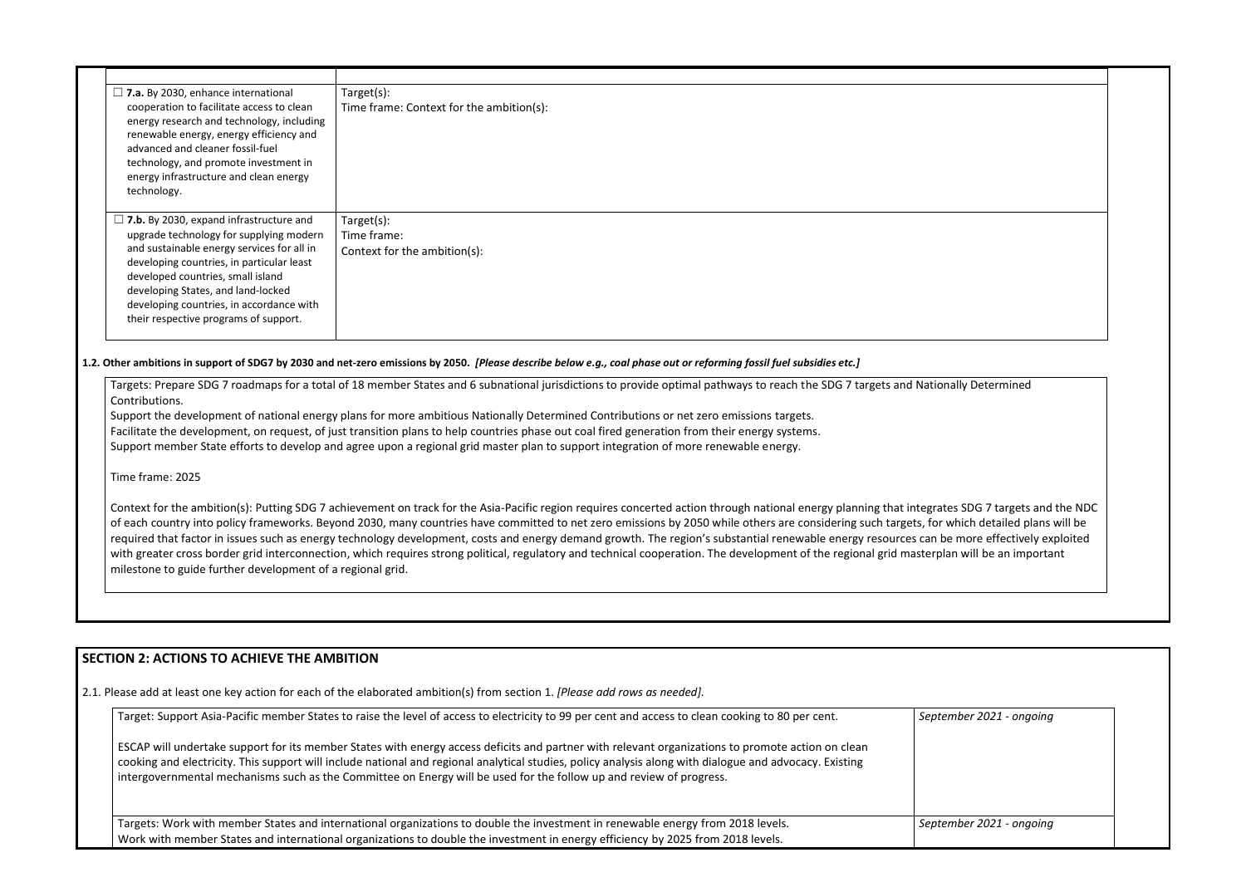| $\Box$ 7.a. By 2030, enhance international<br>cooperation to facilitate access to clean<br>energy research and technology, including<br>renewable energy, energy efficiency and<br>advanced and cleaner fossil-fuel<br>technology, and promote investment in<br>energy infrastructure and clean energy<br>technology.                                | Target(s):<br>Time frame: Context for the ambition(s):                                                                                                                                                                                                                                                                                                   |
|------------------------------------------------------------------------------------------------------------------------------------------------------------------------------------------------------------------------------------------------------------------------------------------------------------------------------------------------------|----------------------------------------------------------------------------------------------------------------------------------------------------------------------------------------------------------------------------------------------------------------------------------------------------------------------------------------------------------|
| $\Box$ 7.b. By 2030, expand infrastructure and<br>upgrade technology for supplying modern<br>and sustainable energy services for all in<br>developing countries, in particular least<br>developed countries, small island<br>developing States, and land-locked<br>developing countries, in accordance with<br>their respective programs of support. | Target(s):<br>Time frame:<br>Context for the ambition(s):                                                                                                                                                                                                                                                                                                |
|                                                                                                                                                                                                                                                                                                                                                      | 1.2. Other ambitions in support of SDG7 by 2030 and net-zero emissions by 2050. [Please describe below e.g., coal phase out or reforming fossil fuel subsidies etc.]<br>Targets: Prepare SDG 7 roadmaps for a total of 18 member States and 6 subnational jurisdictions to provide optimal pathways to reach the SDG 7 targets and Nationally Determined |

Context for the ambition(s): Putting SDG 7 achievement on track for the Asia-Pacific region requires concerted action through national energy planning that integrat of each country into policy frameworks. Beyond 2030, many countries have committed to net zero emissions by 2050 while others are considering such targets, for required that factor in issues such as energy technology development, costs and energy demand growth. The region's substantial renewable energy resources can with greater cross border grid interconnection, which requires strong political, regulatory and technical cooperation. The development of the regional grid masterpl milestone to guide further development of a regional grid.

Support the development of national energy plans for more ambitious Nationally Determined Contributions or net zero emissions targets. Facilitate the development, on request, of just transition plans to help countries phase out coal fired generation from their energy systems. Support member State efforts to develop and agree upon a regional grid master plan to support integration of more renewable energy.

Time frame: 2025

## **SECTION 2: ACTIONS TO ACHIEVE THE AMBITION**

2.1. Please add at least one key action for each of the elaborated ambition(s) from section 1. *[Please add rows as needed].*

| Target: Support Asia-Pacific member States to raise the level of access to electricity to 99 per cent and access to clean cooking to 80 per cent.                                                                                                                                                                                                                                                                                   | Sept |
|-------------------------------------------------------------------------------------------------------------------------------------------------------------------------------------------------------------------------------------------------------------------------------------------------------------------------------------------------------------------------------------------------------------------------------------|------|
| ESCAP will undertake support for its member States with energy access deficits and partner with relevant organizations to promote action on clean<br>cooking and electricity. This support will include national and regional analytical studies, policy analysis along with dialogue and advocacy. Existing<br>intergovernmental mechanisms such as the Committee on Energy will be used for the follow up and review of progress. |      |
| Targets: Work with member States and international organizations to double the investment in renewable energy from 2018 levels.<br>Work with member States and international organizations to double the investment in energy efficiency by 2025 from 2018 levels.                                                                                                                                                                  | Sept |

| nally Determined                                              |  |
|---------------------------------------------------------------|--|
|                                                               |  |
|                                                               |  |
|                                                               |  |
|                                                               |  |
|                                                               |  |
|                                                               |  |
| tes SDG 7 targets and the NDC                                 |  |
| which detailed plans will be<br>be more effectively exploited |  |
| lan will be an important                                      |  |
|                                                               |  |
|                                                               |  |
|                                                               |  |
|                                                               |  |

| September 2021 - ongoing |  |
|--------------------------|--|
|                          |  |
|                          |  |
| September 2021 - ongoing |  |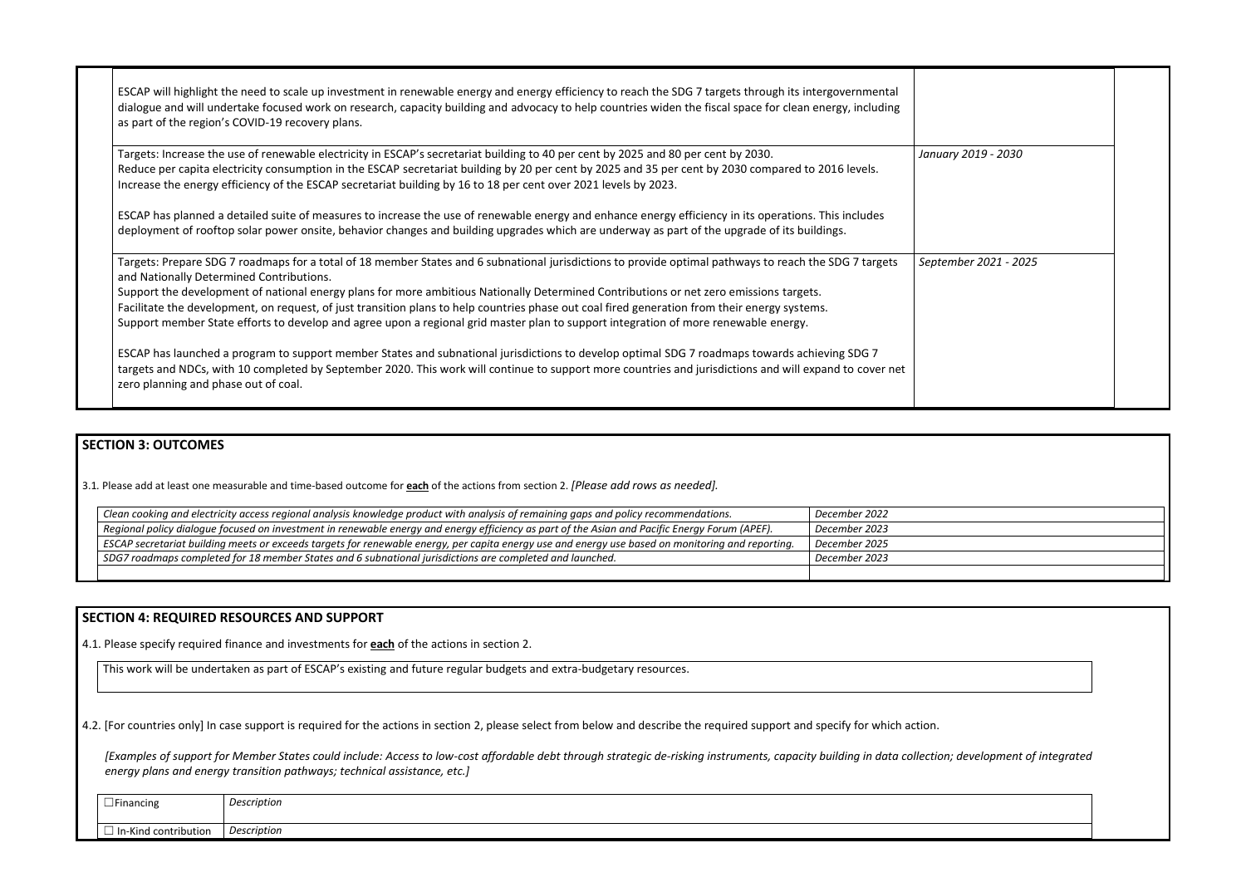ESCAP will highlight the need to scale up investment in renewable energy and energy efficiency to reach the SDG 7 targets through its intergovernmental dialogue and will undertake focused work on research, capacity building and advocacy to help countries widen the fiscal space for clean energy, including as part of the region's COVID-19 recovery plans.

Targets: Prepare SDG 7 roadmaps for a total of 18 member States and 6 subnational jurisdictions to provide optimal pathways to reach the SDG 7 targets and Nationally Determined Contributions.  $Septe$ 

Targets: Increase the use of renewable electricity in ESCAP's secretariat building to 40 per cent by 2025 and 80 per cent by 2030. Reduce per capita electricity consumption in the ESCAP secretariat building by 20 per cent by 2025 and 35 per cent by 2030 compared to 2016 levels. Increase the energy efficiency of the ESCAP secretariat building by 16 to 18 per cent over 2021 levels by 2023.

ESCAP has planned a detailed suite of measures to increase the use of renewable energy and enhance energy efficiency in its operations. This includes deployment of rooftop solar power onsite, behavior changes and building upgrades which are underway as part of the upgrade of its buildings.

| January 2019 - 2030                |  |
|------------------------------------|--|
|                                    |  |
|                                    |  |
| September 2021 - 2025              |  |
|                                    |  |
|                                    |  |
|                                    |  |
|                                    |  |
|                                    |  |
|                                    |  |
|                                    |  |
|                                    |  |
|                                    |  |
|                                    |  |
|                                    |  |
|                                    |  |
|                                    |  |
| tion.                              |  |
| lection; development of integrated |  |

Support the development of national energy plans for more ambitious Nationally Determined Contributions or net zero emissions targets. Facilitate the development, on request, of just transition plans to help countries phase out coal fired generation from their energy systems. Support member State efforts to develop and agree upon a regional grid master plan to support integration of more renewable energy.

[Examples of support for Member States could include: Access to low-cost affordable debt through strategic de-risking instruments, capacity building in data collection *energy plans and energy transition pathways; technical assistance, etc.]*

ESCAP has launched a program to support member States and subnational jurisdictions to develop optimal SDG 7 roadmaps towards achieving SDG 7 targets and NDCs, with 10 completed by September 2020. This work will continue to support more countries and jurisdictions and will expand to cover net zero planning and phase out of coal.

### **SECTION 3: OUTCOMES**

3.1*.* Please add at least one measurable and time-based outcome for **each** of the actions from section 2. *[Please add rows as needed].*

| Clean cooking and electricity access regional analysis knowledge product with analysis of remaining gaps and policy recommendations.              | December 2022 |
|---------------------------------------------------------------------------------------------------------------------------------------------------|---------------|
| Regional policy dialogue focused on investment in renewable energy and energy efficiency as part of the Asian and Pacific Energy Forum (APEF).    | December 2023 |
| ESCAP secretariat building meets or exceeds targets for renewable energy, per capita energy use and energy use based on monitoring and reporting. | December 2025 |
| SDG7 roadmaps completed for 18 member States and 6 subnational jurisdictions are completed and launched.                                          | December 2023 |
|                                                                                                                                                   |               |

#### **SECTION 4: REQUIRED RESOURCES AND SUPPORT**

4.1. Please specify required finance and investments for **each** of the actions in section 2.

This work will be undertaken as part of ESCAP's existing and future regular budgets and extra-budgetary resources.

4.2. [For countries only] In case support is required for the actions in section 2, please select from below and describe the required support and specify for which action.

| $\overline{\phantom{a}}$<br>Financing | . .<br>Description       |
|---------------------------------------|--------------------------|
| <b>-Kind contribution</b><br>-In      | $\cdot$ .<br>Description |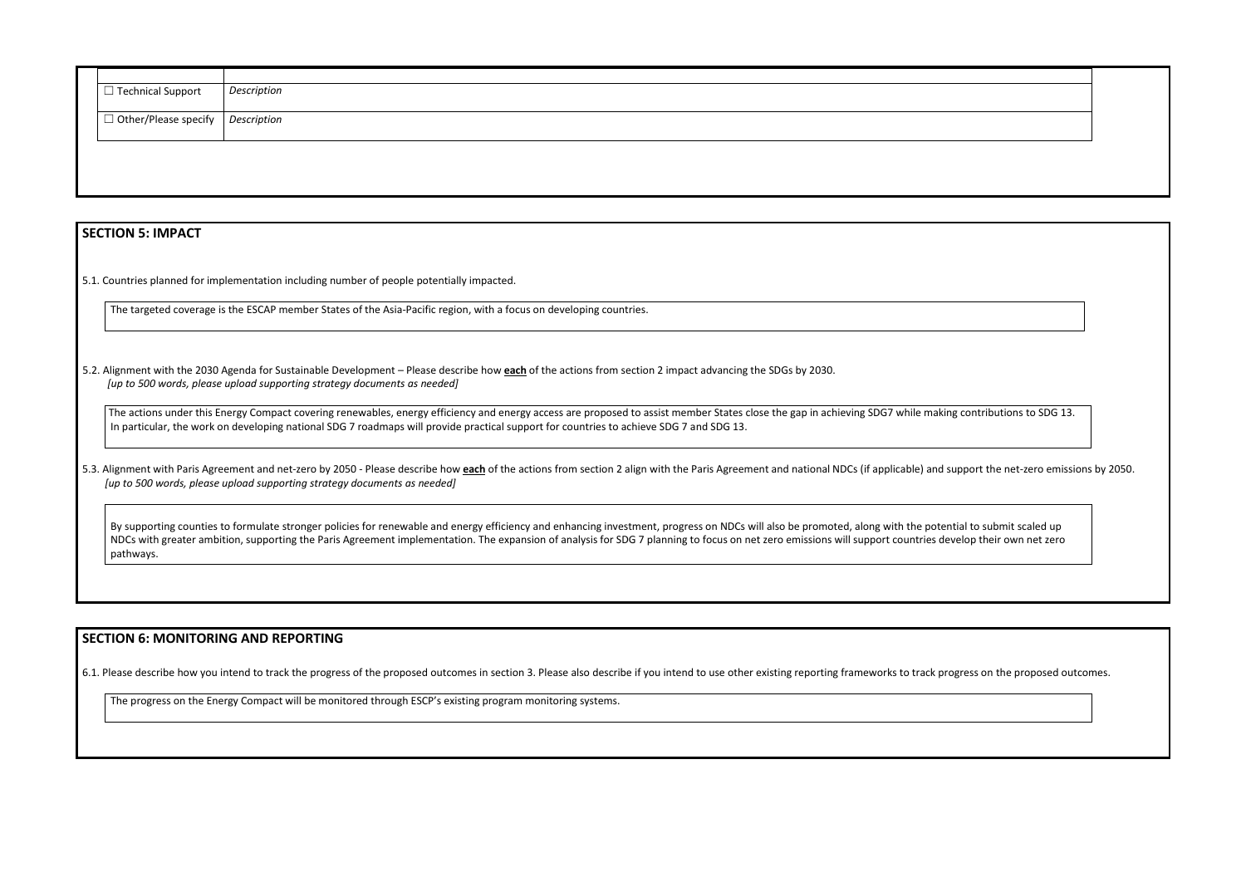| $\Box$ Technical Support                        | Description |
|-------------------------------------------------|-------------|
|                                                 |             |
| $\Box$ Other/Please specify $\Big $ Description |             |
|                                                 |             |
|                                                 |             |
|                                                 |             |
|                                                 |             |
|                                                 |             |

#### **SECTION 5: IMPACT**

5.1. Countries planned for implementation including number of people potentially impacted.

The targeted coverage is the ESCAP member States of the Asia-Pacific region, with a focus on developing countries.

5.2. Alignment with the 2030 Agenda for Sustainable Development – Please describe how **each** of the actions from section 2 impact advancing the SDGs by 2030. *[up to 500 words, please upload supporting strategy documents as needed]* 

The actions under this Energy Compact covering renewables, energy efficiency and energy access are proposed to assist member States close the gap in achieving SDG7 while mak In particular, the work on developing national SDG 7 roadmaps will provide practical support for countries to achieve SDG 7 and SDG 13.

5.3. Alignment with Paris Agreement and net-zero by 2050 - Please describe how each of the actions from section 2 align with the Paris Agreement and national NDCs (if applicable) and *[up to 500 words, please upload supporting strategy documents as needed]* 

By supporting counties to formulate stronger policies for renewable and energy efficiency and enhancing investment, progress on NDCs will also be promoted, along with the pote NDCs with greater ambition, supporting the Paris Agreement implementation. The expansion of analysis for SDG 7 planning to focus on net zero emissions will support countries developpathways.

#### **SECTION 6: MONITORING AND REPORTING**

6.1. Please describe how you intend to track the progress of the proposed outcomes in section 3. Please also describe if you intend to use other existing reporting frameworks to track p

The progress on the Energy Compact will be monitored through ESCP's existing program monitoring systems.

| cing contributions to SDG 13.                            |
|----------------------------------------------------------|
| d support the net-zero emissions by 2050.                |
| ential to submit scaled up<br>develop their own net zero |
|                                                          |
| progress on the proposed outcomes.                       |
|                                                          |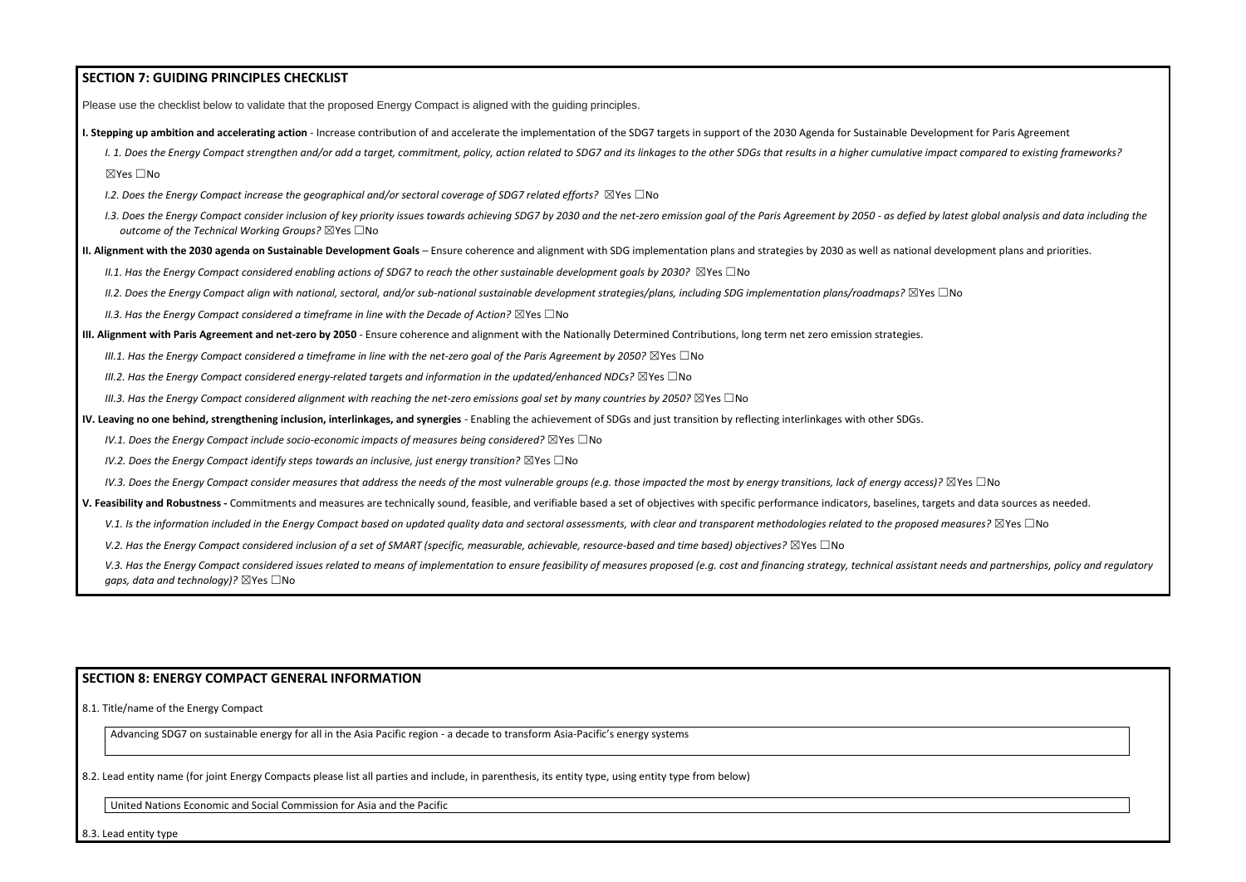### **SECTION 7: GUIDING PRINCIPLES CHECKLIST**

Please use the checklist below to validate that the proposed Energy Compact is aligned with the guiding principles.

**I. Stepping up ambition and accelerating action** - Increase contribution of and accelerate the implementation of the SDG7 targets in support of the 2030 Agenda for Sustainable Development for Paris Agreement

I. 1. Does the Energy Compact strengthen and/or add a target, commitment, policy, action related to SDG7 and its linkages to the other SDGs that results in a higher cumulative impact compared to existing frameworks? ☒Yes ☐No

- *I.2. Does the Energy Compact increase the geographical and/or sectoral coverage of SDG7 related efforts?* ⊠Yes □No
- I.3. Does the Energy Compact consider inclusion of key priority issues towards achieving SDG7 by 2030 and the net-zero emission goal of the Paris Agreement by 2050 as defied by latest global analysis and data including t *outcome of the Technical Working Groups?* ☒Yes ☐No
- **II. Alignment with the 2030 agenda on Sustainable Development Goals** Ensure coherence and alignment with SDG implementation plans and strategies by 2030 as well as national development plans and priorities.

*II.1. Has the Energy Compact considered enabling actions of SDG7 to reach the other sustainable development goals by 2030?* ⊠Yes □No

*II.2. Does the Energy Compact align with national, sectoral, and/or sub-national sustainable development strategies/plans, including SDG implementation plans/roadmaps?* ☒Yes ☐No

*II.3. Has the Energy Compact considered a timeframe in line with the Decade of Action?* ⊠Yes □No

**III. Alignment with Paris Agreement and net-zero by 2050** - Ensure coherence and alignment with the Nationally Determined Contributions, long term net zero emission strategies.

*III.1. Has the Energy Compact considered a timeframe in line with the net-zero goal of the Paris Agreement by 2050?* ⊠Yes □No

*III.2. Has the Energy Compact considered energy-related targets and information in the updated/enhanced NDCs?* ⊠Yes □No

*III.3. Has the Energy Compact considered alignment with reaching the net-zero emissions goal set by many countries by 2050?* ⊠Yes □No

**IV. Leaving no one behind, strengthening inclusion, interlinkages, and synergies** - Enabling the achievement of SDGs and just transition by reflecting interlinkages with other SDGs.

*IV.1. Does the Energy Compact include socio-economic impacts of measures being considered?* ⊠Yes □No

*IV.2. Does the Energy Compact identify steps towards an inclusive, just energy transition?* ⊠Yes □No

*IV.3. Does the Energy Compact consider measures that address the needs of the most vulnerable groups (e.g. those impacted the most by energy transitions, lack of energy access)?* ⊠Yes □No

**V. Feasibility and Robustness -** Commitments and measures are technically sound, feasible, and verifiable based a set of objectives with specific performance indicators, baselines, targets and data sources as needed.

V.1. Is the information included in the Energy Compact based on updated quality data and sectoral assessments, with clear and transparent methodologies related to the proposed measures? ⊠Yes □No

*V.2. Has the Energy Compact considered inclusion of a set of SMART (specific, measurable, achievable, resource-based and time based) objectives?* ⊠Yes □No

V.3. Has the Energy Compact considered issues related to means of implementation to ensure feasibility of measures proposed (e.g. cost and financing strategy, technical assistant needs and partnerships, policy and regulato *gaps, data and technology*)? ⊠Yes □No

#### **SECTION 8: ENERGY COMPACT GENERAL INFORMATION**

8.1. Title/name of the Energy Compact

Advancing SDG7 on sustainable energy for all in the Asia Pacific region - a decade to transform Asia-Pacific's energy systems

8.2. Lead entity name (for joint Energy Compacts please list all parties and include, in parenthesis, its entity type, using entity type from below)

United Nations Economic and Social Commission for Asia and the Pacific

8.3. Lead entity type

| the control of the control of the control of the control of the control of the control of |  |
|-------------------------------------------------------------------------------------------|--|
|                                                                                           |  |
|                                                                                           |  |
|                                                                                           |  |
|                                                                                           |  |
|                                                                                           |  |
|                                                                                           |  |
|                                                                                           |  |
|                                                                                           |  |